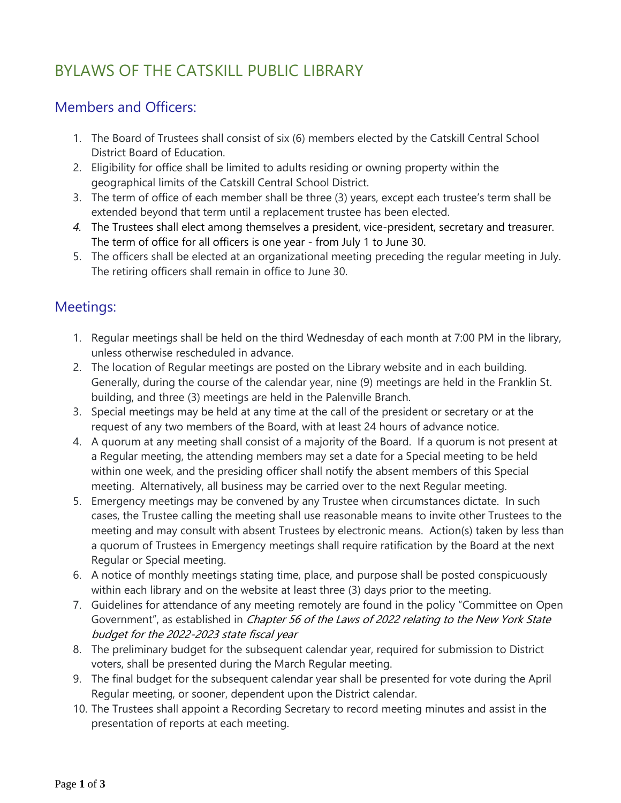# BYLAWS OF THE CATSKILL PUBLIC LIBRARY

# Members and Officers:

- 1. The Board of Trustees shall consist of six (6) members elected by the Catskill Central School District Board of Education.
- 2. Eligibility for office shall be limited to adults residing or owning property within the geographical limits of the Catskill Central School District.
- 3. The term of office of each member shall be three (3) years, except each trustee's term shall be extended beyond that term until a replacement trustee has been elected.
- *4.* The Trustees shall elect among themselves a president, vice-president, secretary and treasurer. The term of office for all officers is one year - from July 1 to June 30.
- 5. The officers shall be elected at an organizational meeting preceding the regular meeting in July. The retiring officers shall remain in office to June 30.

## Meetings:

- 1. Regular meetings shall be held on the third Wednesday of each month at 7:00 PM in the library, unless otherwise rescheduled in advance.
- 2. The location of Regular meetings are posted on the Library website and in each building. Generally, during the course of the calendar year, nine (9) meetings are held in the Franklin St. building, and three (3) meetings are held in the Palenville Branch.
- 3. Special meetings may be held at any time at the call of the president or secretary or at the request of any two members of the Board, with at least 24 hours of advance notice.
- 4. A quorum at any meeting shall consist of a majority of the Board. If a quorum is not present at a Regular meeting, the attending members may set a date for a Special meeting to be held within one week, and the presiding officer shall notify the absent members of this Special meeting. Alternatively, all business may be carried over to the next Regular meeting.
- 5. Emergency meetings may be convened by any Trustee when circumstances dictate. In such cases, the Trustee calling the meeting shall use reasonable means to invite other Trustees to the meeting and may consult with absent Trustees by electronic means. Action(s) taken by less than a quorum of Trustees in Emergency meetings shall require ratification by the Board at the next Regular or Special meeting.
- 6. A notice of monthly meetings stating time, place, and purpose shall be posted conspicuously within each library and on the website at least three (3) days prior to the meeting.
- 7. Guidelines for attendance of any meeting remotely are found in the policy "Committee on Open Government", as established in *Chapter 56 of the Laws of 2022 relating to the New York State* budget for the 2022-2023 state fiscal year
- 8. The preliminary budget for the subsequent calendar year, required for submission to District voters, shall be presented during the March Regular meeting.
- 9. The final budget for the subsequent calendar year shall be presented for vote during the April Regular meeting, or sooner, dependent upon the District calendar.
- 10. The Trustees shall appoint a Recording Secretary to record meeting minutes and assist in the presentation of reports at each meeting.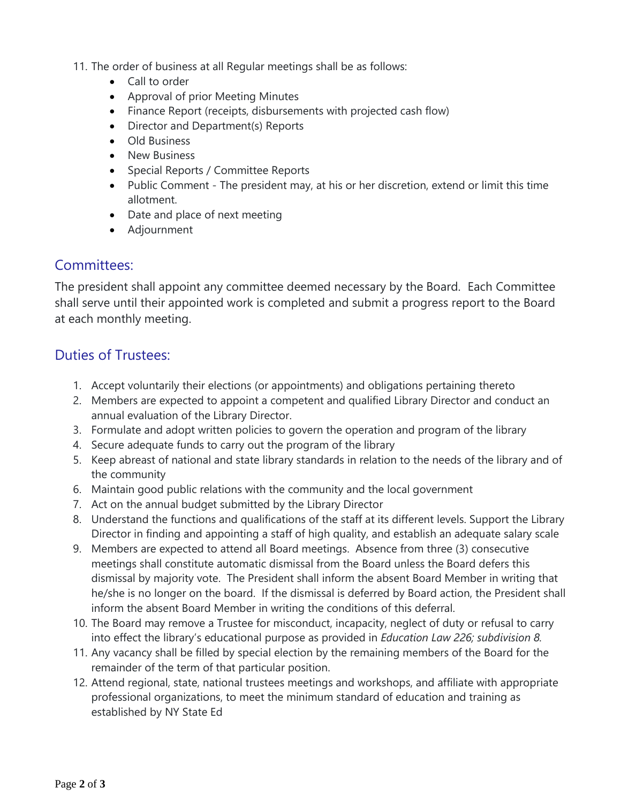11. The order of business at all Regular meetings shall be as follows:

- Call to order
- Approval of prior Meeting Minutes
- Finance Report (receipts, disbursements with projected cash flow)
- Director and Department(s) Reports
- Old Business
- New Business
- Special Reports / Committee Reports
- Public Comment The president may, at his or her discretion, extend or limit this time allotment.
- Date and place of next meeting
- Adjournment

#### Committees:

The president shall appoint any committee deemed necessary by the Board. Each Committee shall serve until their appointed work is completed and submit a progress report to the Board at each monthly meeting.

#### Duties of Trustees:

- 1. Accept voluntarily their elections (or appointments) and obligations pertaining thereto
- 2. Members are expected to appoint a competent and qualified Library Director and conduct an annual evaluation of the Library Director.
- 3. Formulate and adopt written policies to govern the operation and program of the library
- 4. Secure adequate funds to carry out the program of the library
- 5. Keep abreast of national and state library standards in relation to the needs of the library and of the community
- 6. Maintain good public relations with the community and the local government
- 7. Act on the annual budget submitted by the Library Director
- 8. Understand the functions and qualifications of the staff at its different levels. Support the Library Director in finding and appointing a staff of high quality, and establish an adequate salary scale
- 9. Members are expected to attend all Board meetings. Absence from three (3) consecutive meetings shall constitute automatic dismissal from the Board unless the Board defers this dismissal by majority vote. The President shall inform the absent Board Member in writing that he/she is no longer on the board. If the dismissal is deferred by Board action, the President shall inform the absent Board Member in writing the conditions of this deferral.
- 10. The Board may remove a Trustee for misconduct, incapacity, neglect of duty or refusal to carry into effect the library's educational purpose as provided in *Education Law 226; subdivision 8.*
- 11. Any vacancy shall be filled by special election by the remaining members of the Board for the remainder of the term of that particular position.
- 12. Attend regional, state, national trustees meetings and workshops, and affiliate with appropriate professional organizations, to meet the minimum standard of education and training as established by NY State Ed